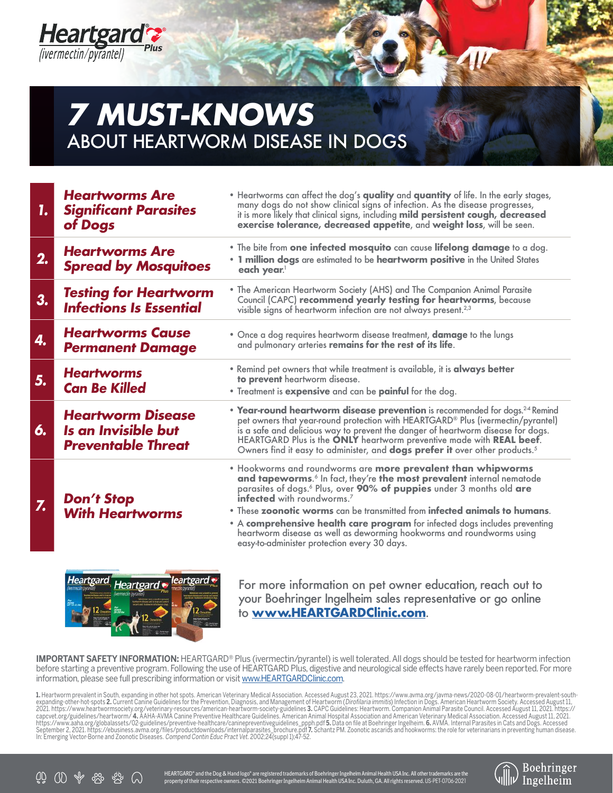

## **7 MUST-KNOWS**  ABOUT HEARTWORM DISEASE IN DOGS

| 1.            | <b>Heartworms Are</b><br><b>Significant Parasites</b><br>of Dogs             | . Heartworms can affect the dog's quality and quantity of life. In the early stages,<br>many dogs do not show clinical signs of infection. As the disease progresses,<br>it is more likely that clinical signs, including mild persistent cough, decreased<br>exercise tolerance, decreased appetite, and weight loss, will be seen.                                                                                                                                                                                                                                         |  |  |  |
|---------------|------------------------------------------------------------------------------|------------------------------------------------------------------------------------------------------------------------------------------------------------------------------------------------------------------------------------------------------------------------------------------------------------------------------------------------------------------------------------------------------------------------------------------------------------------------------------------------------------------------------------------------------------------------------|--|--|--|
| 2.            | <b>Heartworms Are</b><br><b>Spread by Mosquitoes</b>                         | . The bite from one infected mosquito can cause lifelong damage to a dog.<br>. 1 million dogs are estimated to be heartworm positive in the United States<br>each year.                                                                                                                                                                                                                                                                                                                                                                                                      |  |  |  |
| 3.            | <b>Testing for Heartworm</b><br><b>Infections Is Essential</b>               | • The American Heartworm Society (AHS) and The Companion Animal Parasite<br>Council (CAPC) recommend yearly testing for heartworms, because<br>visible signs of heartworm infection are not always present. <sup>2,3</sup>                                                                                                                                                                                                                                                                                                                                                   |  |  |  |
| 4.            | <b>Heartworms Cause</b><br><b>Permanent Damage</b>                           | . Once a dog requires heartworm disease treatment, <b>damage</b> to the lungs<br>and pulmonary arteries remains for the rest of its life.                                                                                                                                                                                                                                                                                                                                                                                                                                    |  |  |  |
| 5.            | <b>Heartworms</b><br><b>Can Be Killed</b>                                    | • Remind pet owners that while treatment is available, it is <b>always better</b><br>to prevent heartworm disease.<br>• Treatment is expensive and can be painful for the dog.                                                                                                                                                                                                                                                                                                                                                                                               |  |  |  |
| 6.            | <b>Heartworm Disease</b><br>Is an Invisible but<br><b>Preventable Threat</b> | • Year-round heartworm disease prevention is recommended for dogs. <sup>24</sup> Remind<br>pet owners that year-round protection with HEARTGARD <sup>®</sup> Plus (ivermectin/pyrantel)<br>is a safe and delicious way to prevent the danger of heartworm disease for dogs.<br>HEARTGARD Plus is the ONLY heartworm preventive made with REAL beef.<br>Owners find it easy to administer, and dogs prefer it over other products. <sup>5</sup>                                                                                                                               |  |  |  |
| $Z_{\bullet}$ | <b>Don't Stop</b><br><b>With Heartworms</b>                                  | . Hookworms and roundworms are more prevalent than whipworms<br>and tapeworms. <sup>6</sup> In fact, they're the most prevalent internal nematode<br>parasites of dogs. <sup>6</sup> Plus, over 90% of puppies under 3 months old are<br><b>infected</b> with roundworms. <sup>7</sup><br>• These zoonotic worms can be transmitted from infected animals to humans.<br>. A comprehensive health care program for infected dogs includes preventing<br>heartworm disease as well as deworming hookworms and roundworms using<br>easy-to-administer protection every 30 days. |  |  |  |
|               |                                                                              |                                                                                                                                                                                                                                                                                                                                                                                                                                                                                                                                                                              |  |  |  |



For more information on pet owner education, reach out to your Boehringer Ingelheim sales representative or go online to **www.HEARTGARDClinic.com**.

**IMPORTANT SAFETY INFORMATION:** HEARTGARD® Plus (ivermectin/pyrantel) is well tolerated. All dogs should be tested for heartworm infection before starting a preventive program. Following the use of HEARTGARD Plus, digestive and neurological side effects have rarely been reported. For more information, please see full prescribing information or visit www.HEARTGARDClinic.com.

**1.** Heartworm prevalent in South, expanding in other hot spots. American Veterinary Medical Association. Accessed August 23, 2021. https://www.avma.org/javma-news/2020-08-01/heartworm-prevalent-southexpanding-other-hot-spots **2.** Current Canine Guidelines for the Prevention, Diagnosis, and Management of Heartworm (*Dirofilaria immitis*) Infection in Dogs. American Heartworm Society. Accessed August 11,<br>2021. https://w In: Emerging Vector-Borne and Zoonotic Diseases. Compend Contin Educ Pract Vet. 2002;24(suppl 1);47-52.

前 (1) 命 资 ②